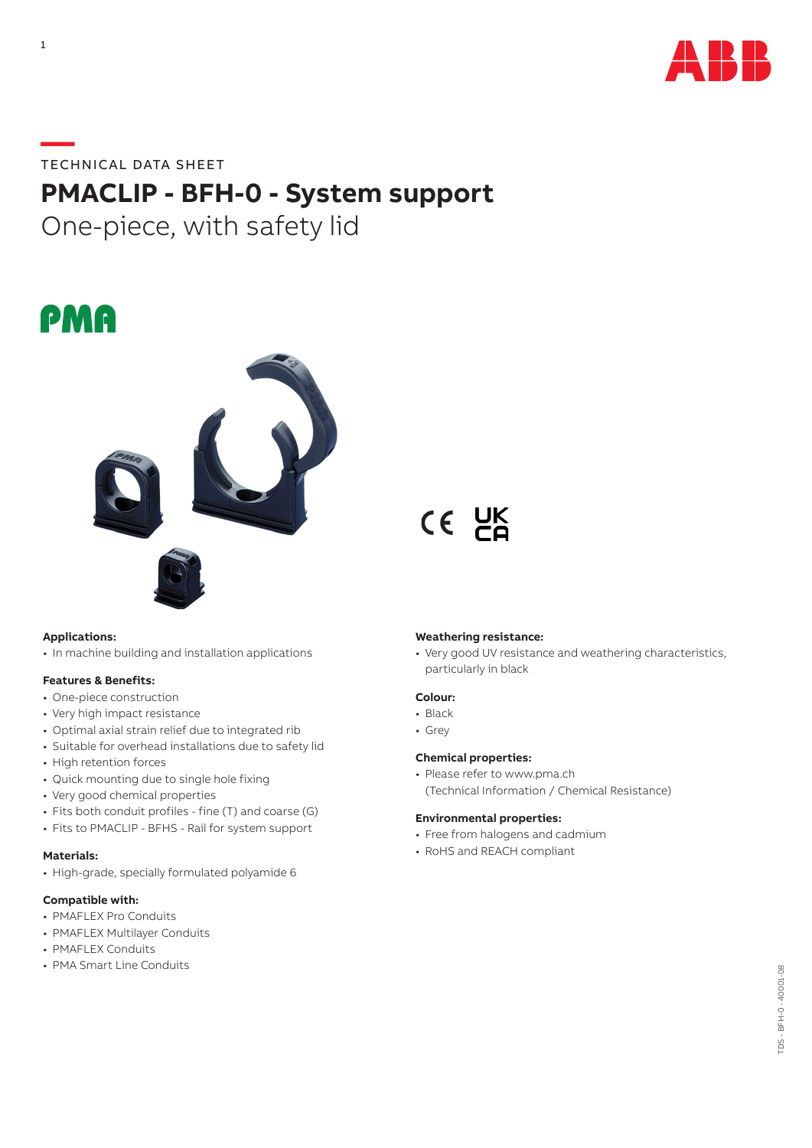

## **—**TECHNICAL DATA SHEET

# **PMACLIP - BFH-0 - System support**

One-piece, with safety lid





## **Applications:**

• In machine building and installation applications

#### **Features & Benefits:**

- One-piece construction
- Very high impact resistance
- Optimal axial strain relief due to integrated rib
- Suitable for overhead installations due to safety lid
- High retention forces
- Quick mounting due to single hole fixing
- Very good chemical properties
- Fits both conduit profiles fine (T) and coarse (G)
- Fits to PMACLIP BFHS Rail for system support

## **Materials:**

• High-grade, specially formulated polyamide 6

#### **Compatible with:**

- PMAFLEX Pro Conduits
- PMAFLEX Multilayer Conduits
- PMAFLEX Conduits
- PMA Smart Line Conduits

#### **Weathering resistance:**

CE UK

• Very good UV resistance and weathering characteristics, particularly in black

## **Colour:**

- Black
- Grey

#### **Chemical properties:**

• Please refer to www.pma.ch (Technical Information / Chemical Resistance)

#### **Environmental properties:**

- Free from halogens and cadmium
- RoHS and REACH compliant